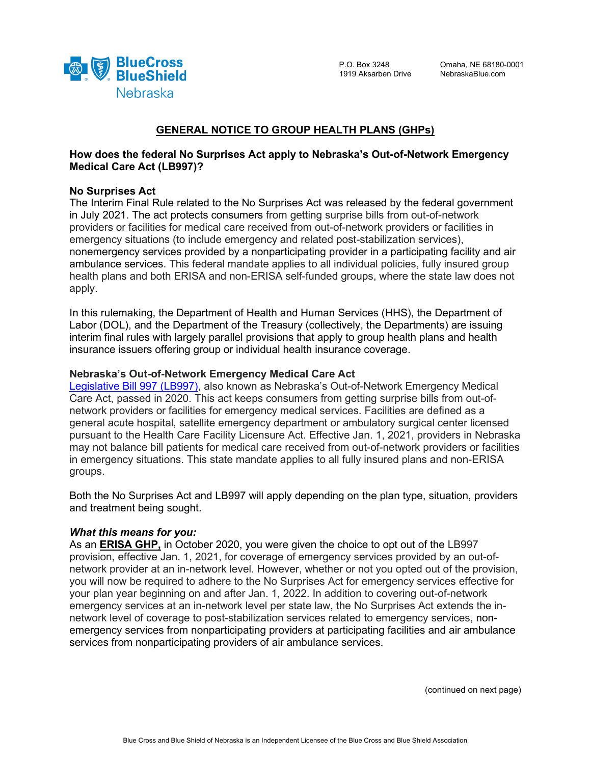

# **GENERAL NOTICE TO GROUP HEALTH PLANS (GHPs)**

# **How does the federal No Surprises Act apply to Nebraska's Out-of-Network Emergency Medical Care Act (LB997)?**

### **No Surprises Act**

The Interim Final Rule related to the No Surprises Act was released by the federal government in July 2021. The act protects consumers from getting surprise bills from out-of-network providers or facilities for medical care received from out-of-network providers or facilities in emergency situations (to include emergency and related post-stabilization services), nonemergency services provided by a nonparticipating provider in a participating facility and air ambulance services. This federal mandate applies to all individual policies, fully insured group health plans and both ERISA and non-ERISA self-funded groups, where the state law does not apply.

In this rulemaking, the Department of Health and Human Services (HHS), the Department of Labor (DOL), and the Department of the Treasury (collectively, the Departments) are issuing interim final rules with largely parallel provisions that apply to group health plans and health insurance issuers offering group or individual health insurance coverage.

### **Nebraska's Out-of-Network Emergency Medical Care Act**

[Legislative Bill 997 \(LB997\),](https://nebraskalegislature.gov/bills/view_bill.php?DocumentID=41477) also known as Nebraska's Out-of-Network Emergency Medical Care Act, passed in 2020. This act keeps consumers from getting surprise bills from out-ofnetwork providers or facilities for emergency medical services. Facilities are defined as a general acute hospital, satellite emergency department or ambulatory surgical center licensed pursuant to the Health Care Facility Licensure Act. Effective Jan. 1, 2021, providers in Nebraska may not balance bill patients for medical care received from out-of-network providers or facilities in emergency situations. This state mandate applies to all fully insured plans and non-ERISA groups.

Both the No Surprises Act and LB997 will apply depending on the plan type, situation, providers and treatment being sought.

### *What this means for you:*

As an **ERISA GHP,** in October 2020, you were given the choice to opt out of the LB997 provision, effective Jan. 1, 2021, for coverage of emergency services provided by an out-ofnetwork provider at an in-network level. However, whether or not you opted out of the provision, you will now be required to adhere to the No Surprises Act for emergency services effective for your plan year beginning on and after Jan. 1, 2022. In addition to covering out-of-network emergency services at an in-network level per state law, the No Surprises Act extends the innetwork level of coverage to post-stabilization services related to emergency services, nonemergency services from nonparticipating providers at participating facilities and air ambulance services from nonparticipating providers of air ambulance services.

(continued on next page)